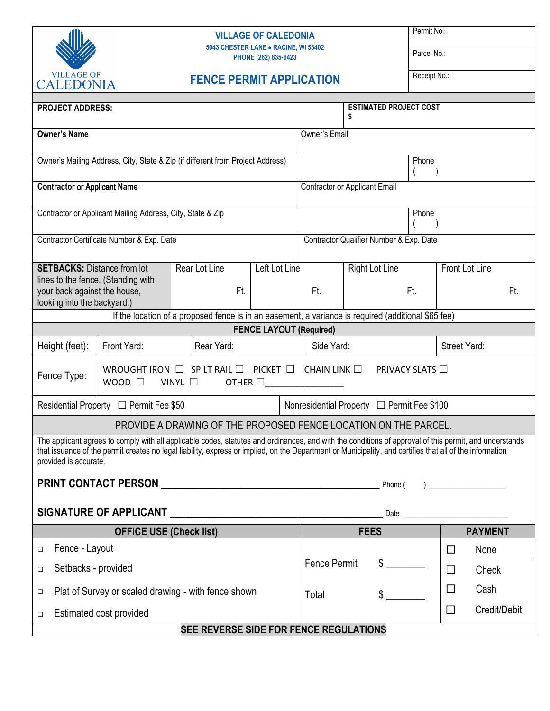

## **VILLAGE OF CALEDONIA 5043 CHESTER LANE** • **RACINE, WI 53402**

**PHONE (262) 835-6423** 

Permit No.:

Parcel No.:

| <b>VILLAGE OF</b><br><b>FENCE PERMIT APPLICATION</b><br><b>CALEDONIA</b>                                                                                                                                                                                                                                                                    |  |  |                      |  |               | Receipt No.:                               |                               |    |                |                                      |              |  |
|---------------------------------------------------------------------------------------------------------------------------------------------------------------------------------------------------------------------------------------------------------------------------------------------------------------------------------------------|--|--|----------------------|--|---------------|--------------------------------------------|-------------------------------|----|----------------|--------------------------------------|--------------|--|
| <b>PROJECT ADDRESS:</b>                                                                                                                                                                                                                                                                                                                     |  |  |                      |  |               |                                            | <b>ESTIMATED PROJECT COST</b> |    |                |                                      |              |  |
| <b>Owner's Name</b>                                                                                                                                                                                                                                                                                                                         |  |  |                      |  |               | Owner's Email                              |                               |    |                |                                      |              |  |
| Owner's Mailing Address, City, State & Zip (if different from Project Address)                                                                                                                                                                                                                                                              |  |  |                      |  |               |                                            | Phone                         |    |                |                                      |              |  |
| <b>Contractor or Applicant Name</b>                                                                                                                                                                                                                                                                                                         |  |  |                      |  |               | Contractor or Applicant Email              |                               |    |                |                                      |              |  |
| Contractor or Applicant Mailing Address, City, State & Zip                                                                                                                                                                                                                                                                                  |  |  |                      |  |               |                                            | Phone                         |    |                |                                      |              |  |
| Contractor Certificate Number & Exp. Date                                                                                                                                                                                                                                                                                                   |  |  |                      |  |               | Contractor Qualifier Number & Exp. Date    |                               |    |                |                                      |              |  |
| <b>SETBACKS: Distance from lot</b><br>lines to the fence. (Standing with<br>your back against the house,<br>looking into the backyard.)                                                                                                                                                                                                     |  |  | Rear Lot Line<br>Ft. |  | Left Lot Line |                                            | <b>Right Lot Line</b><br>Ft.  |    |                | Front Lot Line                       |              |  |
|                                                                                                                                                                                                                                                                                                                                             |  |  |                      |  |               | Ft.                                        |                               |    |                | Ft.                                  |              |  |
| If the location of a proposed fence is in an easement, a variance is required (additional \$65 fee)                                                                                                                                                                                                                                         |  |  |                      |  |               |                                            |                               |    |                |                                      |              |  |
| <b>FENCE LAYOUT (Required)</b>                                                                                                                                                                                                                                                                                                              |  |  |                      |  |               |                                            |                               |    |                |                                      |              |  |
| Height (feet):<br>Front Yard:<br>Rear Yard:                                                                                                                                                                                                                                                                                                 |  |  |                      |  | Side Yard:    |                                            |                               |    | Street Yard:   |                                      |              |  |
| PICKET $\Box$ CHAIN LINK $\Box$<br>SPILT RAIL $\square$<br><b>PRIVACY SLATS</b> □<br>WROUGHT IRON<br>Fence Type:<br>WOOD $\square$<br>VINYL $\square$<br>OTHER $\square$                                                                                                                                                                    |  |  |                      |  |               |                                            |                               |    |                |                                      |              |  |
| Residential Property □ Permit Fee \$50                                                                                                                                                                                                                                                                                                      |  |  |                      |  |               | Nonresidential Property □ Permit Fee \$100 |                               |    |                |                                      |              |  |
| PROVIDE A DRAWING OF THE PROPOSED FENCE LOCATION ON THE PARCEL.                                                                                                                                                                                                                                                                             |  |  |                      |  |               |                                            |                               |    |                |                                      |              |  |
| The applicant agrees to comply with all applicable codes, statutes and ordinances, and with the conditions of approval of this permit, and understands<br>that issuance of the permit creates no legal liability, express or implied, on the Department or Municipality, and certifies that all of the information<br>provided is accurate. |  |  |                      |  |               |                                            |                               |    |                |                                      |              |  |
| Phone (                                                                                                                                                                                                                                                                                                                                     |  |  |                      |  |               |                                            |                               |    |                | <u> 1980 - Johann Barbara, martx</u> |              |  |
|                                                                                                                                                                                                                                                                                                                                             |  |  |                      |  |               |                                            |                               |    |                |                                      |              |  |
| <b>OFFICE USE (Check list)</b>                                                                                                                                                                                                                                                                                                              |  |  |                      |  | <b>FEES</b>   |                                            |                               |    | <b>PAYMENT</b> |                                      |              |  |
| Fence - Layout<br>$\Box$                                                                                                                                                                                                                                                                                                                    |  |  |                      |  |               |                                            |                               |    |                | $\Box$                               | None         |  |
| Setbacks - provided<br>$\Box$                                                                                                                                                                                                                                                                                                               |  |  |                      |  |               | <b>Fence Permit</b>                        |                               | \$ |                | $\Box$                               | Check        |  |
| Plat of Survey or scaled drawing - with fence shown<br>$\Box$                                                                                                                                                                                                                                                                               |  |  |                      |  | Total         |                                            | \$                            |    | $\Box$         | Cash                                 |              |  |
| Estimated cost provided<br>$\Box$                                                                                                                                                                                                                                                                                                           |  |  |                      |  |               |                                            |                               |    |                | $\Box$                               | Credit/Debit |  |

**SEE REVERSE SIDE FOR FENCE REGULATIONS**